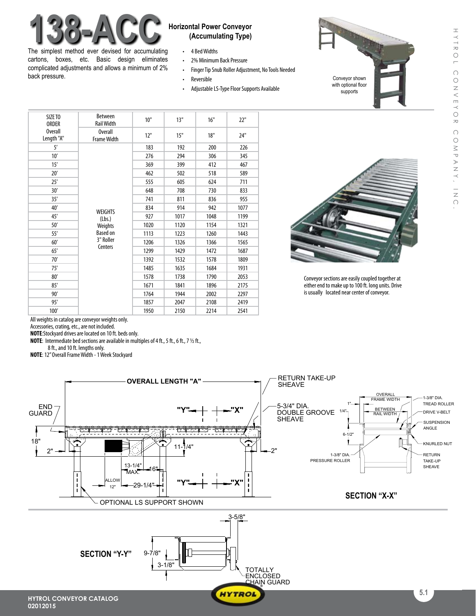

The simplest method ever devised for accumulating cartons, boxes, etc. Basic design eliminates complicated adjustments and allows a minimum of 2% back pressure.

## **(Accumulating Type)**

- • 4 BedWidths
- 2% Minimum Back Pressure
- Finger Tip Snub Roller Adjustment, No Tools Needed
- • Reversible
- Adjustable LS-Type Floor Supports Available

| SIZE TO<br><b>ORDER</b><br><b>Overall</b><br>Length "A" | <b>Between</b><br><b>Rail Width</b>                                            | 10"  | 13"  | 16"  | 22"  |
|---------------------------------------------------------|--------------------------------------------------------------------------------|------|------|------|------|
|                                                         | <b>Overall</b><br><b>Frame Width</b>                                           | 12"  | 15"  | 18"  | 24"  |
| 5'                                                      | <b>WEIGHTS</b><br>(Lbs.)<br>Weights<br><b>Based on</b><br>3" Roller<br>Centers | 183  | 192  | 200  | 226  |
| 10'                                                     |                                                                                | 276  | 294  | 306  | 345  |
| 15'                                                     |                                                                                | 369  | 399  | 412  | 467  |
| 20'                                                     |                                                                                | 462  | 502  | 518  | 589  |
| 25'                                                     |                                                                                | 555  | 605  | 624  | 711  |
| 30'                                                     |                                                                                | 648  | 708  | 730  | 833  |
| 35'                                                     |                                                                                | 741  | 811  | 836  | 955  |
| 40'                                                     |                                                                                | 834  | 914  | 942  | 1077 |
| 45'                                                     |                                                                                | 927  | 1017 | 1048 | 1199 |
| 50'                                                     |                                                                                | 1020 | 1120 | 1154 | 1321 |
| 55'                                                     |                                                                                | 1113 | 1223 | 1260 | 1443 |
| 60'                                                     |                                                                                | 1206 | 1326 | 1366 | 1565 |
| 65'                                                     |                                                                                | 1299 | 1429 | 1472 | 1687 |
| 70'                                                     |                                                                                | 1392 | 1532 | 1578 | 1809 |
| 75'                                                     |                                                                                | 1485 | 1635 | 1684 | 1931 |
| 80'                                                     |                                                                                | 1578 | 1738 | 1790 | 2053 |
| 85'                                                     |                                                                                | 1671 | 1841 | 1896 | 2175 |
| 90'                                                     |                                                                                | 1764 | 1944 | 2002 | 2297 |
| 95'                                                     |                                                                                | 1857 | 2047 | 2108 | 2419 |
| 100'                                                    |                                                                                | 1950 | 2150 | 2214 | 2541 |



Conveyor shown with optional floor supports

Conveyor sections are easily coupled together at either end to make up to 100 ft. long units. Drive is usually located near center of conveyor.

All weights in catalog are conveyor weights only.

Accessories, crating, etc., are not included.

**NOTE:**Stockyard drives are located on 10 ft. beds only. **NOTE:** Intermediate bed sections are available in multiples of 4 ft., 5 ft., 6 ft., 7 1/2 ft.,

8 ft., and 10 ft. lengths only.

**NOTE:** 12" Overall Frame Width - 1 Week Stockyard



**HYTROL**